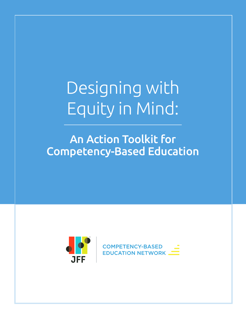Designing with Equity in Mind:

An Action Toolkit for Competency-Based Education



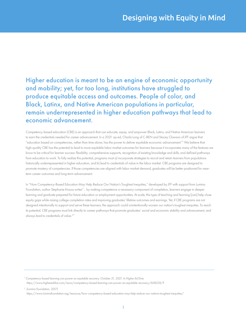Higher education is meant to be an engine of economic opportunity and mobility; yet, for too long, institutions have struggled to produce equitable access and outcomes. People of color, and Black, Latinx, and Native American populations in particular, remain underrepresented in higher education pathways that lead to economic advancement.

Competency-based education (CBE) is an approach that can educate, equip, and empower Black, Latinx, and Native American learners to earn the credentials needed for career advancement. In a 2021 op-ed, Charla Long of C-BEN and Stacey Clawson of JFF argue that "education based on competencies, rather than time alone, has the power to deliver equitable economic advancement.1 " We believe that high-quality CBE has the potential to lead to more equitable labor market outcomes for learners because it incorporates many of the features we know to be critical for learner success: flexibility, comprehensive supports, recognition of existing knowledge and skills, and defined pathways from education to work. To fully realize this potential, programs must a) incorporate strategies to recruit and retain learners from populations historically underrepresented in higher education, and b) lead to credentials of value in the labor market. CBE programs are designed to promote mastery of competencies. If those competencies are aligned with labor market demand, graduates will be better positioned for nearterm career outcomes and long-term advancement.

In "How Competency-Based Education May Help Reduce Our Nation's Toughest Inequities," developed by JFF with support from Lumina Foundation, author Stephanie Krauss writes"... by making competence a necessary component of completion, learners engage in deeper learning and graduate prepared for future education or employment opportunities. At scale, this type of teaching and learning [can] help close equity gaps while raising college completion rates and improving graduates' lifetime outcomes and earnings. Yet, if CBE programs are not designed intentionally to support and serve these learners, the approach could unintentionally worsen our nation's toughest inequities. To reach its potential, CBE programs must link directly to career pathways that promote graduates' social and economic stability and advancement, and always lead to credentials of value.2 "

<sup>1</sup> Competency-based learning can power an equitable recovery. October 21, 2021. In Higher Ed Dive. *https://www.highereddive.com/news/competency-based-learning-can-power-an-equitable-recovery/608228/?*

*2 (Lumina Foundation, 2017) https://www.luminafoundation.org/resource/how-competency-based-education-may-help-reduce-our-nations-toughest-inequities/*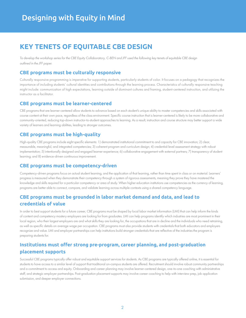## **KEY TENETS OF EQUITABLE CBE DESIGN**

*To develop the workshop series for the CBE Equity Collaboratory, C-BEN and JFF used the following key tenets of equitable CBE design outlined in the JFF paper.*

#### **CBE programs must be culturally responsive**

Culturally responsive programming is imperative for supporting students, particularly students of color. It focuses on a pedagogy that recognizes the importance of including students' cultural identities and contributions through the learning process. Characteristics of culturally responsive teaching might include: communication of high expectations, learning outside of dominant cultures and framing, student-centered instruction, and utilizing the instructor as a facilitator.

#### **CBE programs must be learner-centered**

CBE programs that are learner-centered allow students to advance based on each student's unique ability to master competencies and skills associated with course content at their own pace, regardless of the class environment. Specific course instruction that is learner-centered is likely to be more collaborative and community-oriented, reducing top-down instructor-to-student approaches to learning. As a result, instruction and course structure may better support a wide variety of learners and learning abilities, leading to stronger outcomes.

#### **CBE programs must be high-quality**

High-quality CBE programs include eight specific elements: 1) demonstrated institutional commitment to and capacity for CBE innovation; 2) clear, measurable, meaningful, and integrated competencies; 3) coherent program and curriculum design; 4) credential-level assessment strategy with robust implementation; 5) intentionally designed and engaged learner experience; 6) collaborative engagement with external partners; 7) transparency of student learning; and 8) evidence-driven continuous improvement.

#### **CBE programs must be competency-driven**

Competency-driven programs focus on actual student learning, and the application of that learning, rather than time spent in class or on material. Learners' progress is measured when they demonstrate their competency through a system of rigorous assessments, meaning they prove they have mastered the knowledge and skills required for a particular competency or area of study. When higher education institutions use competencies as the currency of learning, programs are better able to connect, compare, and validate learning across multiple contexts using a shared competency language.

### **CBE programs must be grounded in labor market demand and data, and lead to credentials of value**

In order to best support students for a future career, CBE programs must be shaped by local labor market information (LMI) that can help inform the kinds of content and competency mastery employers are looking for from graduates. LMI can help programs identify which industries are most prominent in their local region, who their largest employers are and what skills they are looking for, the occupations that are in decline and the individuals who need retraining, as well as specific details on average wage per occupation. CBE programs must also provide students with credentials that both educators and employers recognize and value. LMI and employer partnerships can help institutions build stronger credentials that are reflective of the industries the program is preparing students for.

### **Institutions must offer strong pre-program, career planning, and post-graduation placement supports**

Successful CBE programs typically offer robust and equitable support services for students. As CBE programs are typically offered online, it is essential for students to have access to a similar level of support that traditional on-campus students are offered. Recruitment should involve robust community partnerships and a commitment to access and equity. Onboarding and career planning may involve learner-centered design, one-to-one coaching with administrative staff, and strategic employer partnerships. Post-graduation placement supports may involve career coaching to help with interview prep, job application submission, and deeper employer connections.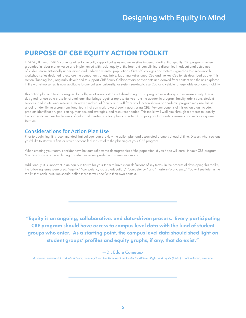## **PURPOSE OF CBE EQUITY ACTION TOOLKIT**

In 2020, JFF and C-BEN came together to mutually support colleges and universities in demonstrating that quality CBE programs, when grounded in labor market value and implemented with racial equity at the forefront, can eliminate disparities in educational outcomes of students from historically underserved and underrepresented populations. Over 30 colleges and systems signed on to a nine-month workshop series designed to explore the components of equitable, labor market-aligned CBE and the key CBE tenets described above. This Action Planning Tool, originally developed to support CBE Equity Collaboratory participants and derived from content and themes explored in the workshop series, is now available to any college, university, or system seeking to use CBE as a vehicle for equitable economic mobility.

This action planning tool is designed for colleges at various stages of developing a CBE program as a strategy to increase equity. It was designed for use by a cross-functional team that brings together representatives from the academic program, faculty, admissions, student services, and institutional research. However, individual faculty and staff from any functional area or academic program may use this as a tool for identifying a cross-functional team that can work toward equity goals using CBE. Key components of this action plan include: problem identification, goal setting, methods and strategies, and resources needed. This toolkit will walk you through a process to identify the barriers to success for learners of color and create an action plan to create a CBE program that centers learners and removes systemic barriers.

#### Considerations for Action Plan Use

Prior to beginning, it is recommended that college teams review the action plan and associated prompts ahead of time. Discuss what sections you'd like to start with first, or which sections feel most vital to the planning of your CBE program.

When creating your team, consider how the team reflects the demographics of the population(s) you hope will enroll in your CBE program. You may also consider including a student or recent graduate in some discussions.

Additionally, it is important in an equity initiative for your team to have clear definitions of key terms. In the process of developing this toolkit, the following terms were used: "equity," "competency-based education," "competency," and "mastery/proficiency." You will see later in the toolkit that each institution should define these terms specific to their own context.

"Equity is an ongoing, collaborative, and data-driven process. Every participating CBE program should have access to campus level data with the kind of student groups who enter. As a starting point, the campus level data should shed light on student groups' profiles and equity graphs, if any, that do exist."

#### —Dr. Eddie Comeaux

*Associate Professor & Graduate Advisor, Founder/Executive Director of the Center for Athlete's Rights and Equity (CARE), U of California, Riverside*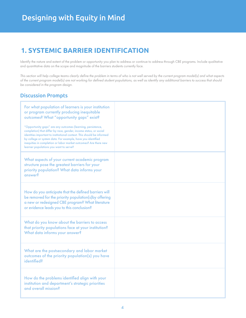## **1. SYSTEMIC BARRIER IDENTIFICATION**

Identify the nature and extent of the problem or opportunity you plan to address or continue to address through CBE programs. Include qualitative and quantitative data on the scope and magnitude of the barriers students currently face.

*This section will help college teams clearly define the problem in terms of who is not well served by the current program model(s) and what aspects of the current program model(s) are not working for defined student populations, as well as identify any additional barriers to success that should be considered in the program design.*

| For what population of learners is your institution<br>or program currently producing inequitable<br>outcomes? What "opportunity gaps" exist?                                                                                                                                                                                                                                           |  |
|-----------------------------------------------------------------------------------------------------------------------------------------------------------------------------------------------------------------------------------------------------------------------------------------------------------------------------------------------------------------------------------------|--|
| "Opportunity gaps" are any outcomes (learning, persistence,<br>completion) that differ by race, gender, income status, or social<br>identities important to institutional context. This should be informed<br>by college or system data. For example, have you identified<br>inequities in completion or labor market outcomes? Are there new<br>learner populations you want to serve? |  |
| What aspects of your current academic program<br>structure pose the greatest barriers for your<br>priority population? What data informs your<br>answer?                                                                                                                                                                                                                                |  |
| How do you anticipate that the defined barriers will<br>be removed for the priority population(s) by offering<br>a new or redesigned CBE program? What literature<br>or evidence leads you to this conclusion?                                                                                                                                                                          |  |
| What do you know about the barriers to access<br>that priority populations face at your institution?<br>What data informs your answer?                                                                                                                                                                                                                                                  |  |
| What are the postsecondary and labor market<br>outcomes of the priority population(s) you have<br><i>identified?</i>                                                                                                                                                                                                                                                                    |  |
| How do the problems identified align with your<br>institution and department's strategic priorities<br>and overall mission?                                                                                                                                                                                                                                                             |  |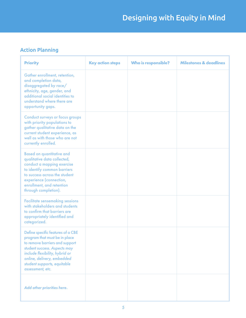## Action Planning

| <b>Priority</b>                                                                                                                                                                                                                                         | <b>Key action steps</b> | <b>Who is responsible?</b> | <b>Milestones &amp; deadlines</b> |
|---------------------------------------------------------------------------------------------------------------------------------------------------------------------------------------------------------------------------------------------------------|-------------------------|----------------------------|-----------------------------------|
| Gather enrollment, retention,<br>and completion data,<br>disaggregated by race/<br>ethnicity, age, gender, and<br>additional social identities to<br>understand where there are<br>opportunity gaps.                                                    |                         |                            |                                   |
| <b>Conduct surveys or focus groups</b><br>with priority populations to<br>gather qualitative data on the<br>current student experience, as<br>well as with those who are not<br>currently enrolled.                                                     |                         |                            |                                   |
| <b>Based on quantitative and</b><br>qualitative data collected,<br>conduct a mapping exercise<br>to identify common barriers<br>to success across the student<br>experience (connection,<br>enrollment, and retention<br>through completion).           |                         |                            |                                   |
| <b>Facilitate sensemaking sessions</b><br>with stakeholders and students<br>to confirm that barriers are<br>appropriately identified and<br>categorized.                                                                                                |                         |                            |                                   |
| Define specific features of a CBE<br>program that must be in place<br>to remove barriers and support<br>student success. Aspects may<br>include flexibility, hybrid or<br>online, delivery, embedded<br>student supports, equitable<br>assessment, etc. |                         |                            |                                   |
| Add other priorities here.                                                                                                                                                                                                                              |                         |                            |                                   |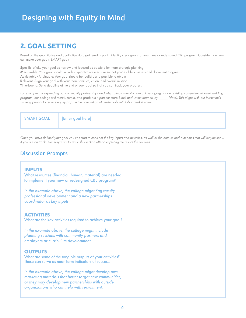## **2. GOAL SETTING**

Based on the quantitative and qualitative data gathered in part 1, identify clear goals for your new or redesigned CBE program. Consider how you can make your goals SMART goals:

**S**pecific: Make your goal as narrow and focused as possible for more strategic planning **M**easurable: Your goal should include a quantitative measure so that you're able to assess and document progress **A**chievable/Attainable: Your goal should be realistic and possible to obtain **R**elevant: Align your goal with your team's values, vision, and overall mission **T**ime-bound: Set a deadline at the end of your goal so that you can track your progress

*For example: By expanding our community partnerships and integrating culturally relevant pedagogy for our existing competency-based welding program, our college will recruit, retain, and graduate x percent more Black and Latinx learners by \_\_\_\_\_ (date). This aligns with our institution's strategy priority to reduce equity gaps in the completion of credentials with labor market value.*

SMART GOAL [Enter goal here]

*Once you have defined your goal you can start to consider the key inputs and activities, as well as the outputs and outcomes that will let you know if you are on track. You may want to revisit this section after completing the rest of the sections.*

| <b>INPUTS</b><br>What resources (financial, human, material) are needed<br>to implement your new or redesigned CBE program?<br>In the example above, the college might flag faculty<br>professional development and a new partnerships<br>coordinator as key inputs.                                                                                      |  |
|-----------------------------------------------------------------------------------------------------------------------------------------------------------------------------------------------------------------------------------------------------------------------------------------------------------------------------------------------------------|--|
| <b>ACTIVITIES</b><br>What are the key activities required to achieve your goal?<br>In the example above, the college might include<br>planning sessions with community partners and<br>employers or curriculum development.                                                                                                                               |  |
| <b>OUTPUTS</b><br>What are some of the tangible outputs of your activities?<br>These can serve as near-term indicators of success.<br>In the example above, the college might develop new<br>marketing materials that better target new communities,<br>or they may develop new partnerships with outside<br>organizations who can help with recruitment. |  |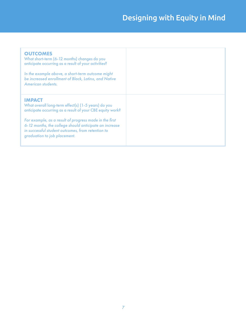| <b>OUTCOMES</b><br>What short-term (6-12 months) changes do you<br>anticipate occurring as a result of your activities?<br>In the example above, a short-term outcome might<br>be increased enrollment of Black, Latinx, and Native<br>American students.                                                                                  |  |
|--------------------------------------------------------------------------------------------------------------------------------------------------------------------------------------------------------------------------------------------------------------------------------------------------------------------------------------------|--|
| <b>IMPACT</b><br>What overall long-term effect(s) (1-5 years) do you<br>anticipate occurring as a result of your CBE equity work?<br>For example, as a result of progress made in the first<br>6-12 months, the college should anticipate an increase<br>in successful student outcomes, from retention to<br>graduation to job placement. |  |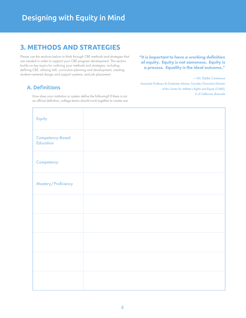## **3. METHODS AND STRATEGIES**

Please use the sections below to think through CBE methods and strategies that are needed in order to support your CBE program development. This section builds on key topics for outlining your methods and strategies, including defining CBE, utilizing LMI, curriculum planning and development, creating student-centered design and support systems, and job placement.

### A. Definitions

How does your institution or system define the following? If there is not an official definition, college teams should work together to create one.

#### **"It is important to have a working definition of equity. Equity is not sameness. Equity is a process. Equality is the ideal outcome."**

—Dr. Eddie Comeaux *Associate Professor & Graduate Advisor, Founder/Executive Director of the Center for Athlete's Rights and Equity (CARE), U of California, Riverside*

| Equity                        |  |
|-------------------------------|--|
| Competency-Based<br>Education |  |
| Competency                    |  |
| Mastery/Proficiency           |  |
|                               |  |
|                               |  |
|                               |  |
|                               |  |
|                               |  |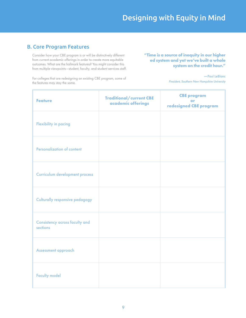### B. Core Program Features

Consider how your CBE program is or will be distinctively different from current academic offerings in order to create more equitable outcomes. What are the hallmark features? You might consider this from multiple viewpoints—student, faculty, and student services staff. **"Time is a source of inequity in our higher ed system and yet we've built a whole system on the credit hour."** 

For colleges that are redesigning an existing CBE program, some of the features may stay the same.

—Paul LeBlanc *President, Southern New Hampshire University*

| <b>Feature</b>                             | <b>Traditional/current CBE</b><br>academic offerings | <b>CBE program</b><br><b>or</b><br>redesigned CBE program |
|--------------------------------------------|------------------------------------------------------|-----------------------------------------------------------|
| <b>Flexibility in pacing</b>               |                                                      |                                                           |
| <b>Personalization of content</b>          |                                                      |                                                           |
| <b>Curriculum development process</b>      |                                                      |                                                           |
| <b>Culturally responsive pedagogy</b>      |                                                      |                                                           |
| Consistency across faculty and<br>sections |                                                      |                                                           |
| Assessment approach                        |                                                      |                                                           |
| <b>Faculty model</b>                       |                                                      |                                                           |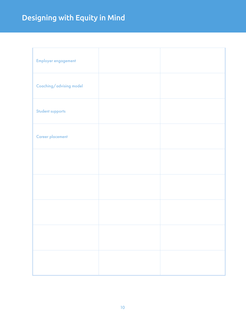# Designing with Equity in Mind

| Employer engagement     |  |
|-------------------------|--|
| Coaching/advising model |  |
| Student supports        |  |
| <b>Career placement</b> |  |
|                         |  |
|                         |  |
|                         |  |
|                         |  |
|                         |  |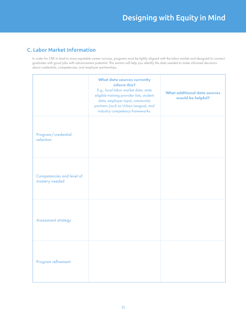## C. Labor Market Information

In order for CBE to lead to more equitable career success, programs must be tightly aligned with the labor market and designed to connect graduates with good jobs with advancement potential. This section will help you identify the data needed to make informed decisions about credentials, competencies, and employer partnerships.

|                                                    | <b>What data sources currently</b><br>inform this?<br>E.g., local labor market data, state<br>eligible training provider lists, student<br>data, employer input, community<br>partners (such as Urban League), and<br>industry competency frameworks. | <b>What additional data sources</b><br>would be helpful? |
|----------------------------------------------------|-------------------------------------------------------------------------------------------------------------------------------------------------------------------------------------------------------------------------------------------------------|----------------------------------------------------------|
| Program/credential<br>selection                    |                                                                                                                                                                                                                                                       |                                                          |
| <b>Competencies and level of</b><br>mastery needed |                                                                                                                                                                                                                                                       |                                                          |
| <b>Assessment strategy</b>                         |                                                                                                                                                                                                                                                       |                                                          |
| Program refinement                                 |                                                                                                                                                                                                                                                       |                                                          |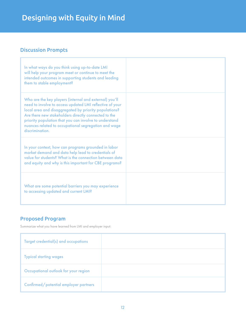## Discussion Prompts

| In what ways do you think using up-to-date LMI<br>will help your program meet or continue to meet the<br>intended outcomes in supporting students and leading<br>them to stable employment?                                                                                                                                                                              |  |
|--------------------------------------------------------------------------------------------------------------------------------------------------------------------------------------------------------------------------------------------------------------------------------------------------------------------------------------------------------------------------|--|
| Who are the key players (internal and external) you'll<br>need to involve to access updated LMI reflective of your<br>local area and disaggregated by priority populations?<br>Are there new stakeholders directly connected to the<br>priority population that you can involve to understand<br>nuances related to occupational segregation and wage<br>discrimination. |  |
| In your context, how can programs grounded in labor<br>market demand and data help lead to credentials of<br>value for students? What is the connection between data<br>and equity and why is this important for CBE programs?                                                                                                                                           |  |
| What are some potential barriers you may experience<br>to accessing updated and current LMI?                                                                                                                                                                                                                                                                             |  |

## Proposed Program

Summarize what you have learned from LMI and employer input:

| Target credential(s) and occupations  |  |
|---------------------------------------|--|
| <b>Typical starting wages</b>         |  |
| Occupational outlook for your region  |  |
| Confirmed/potential employer partners |  |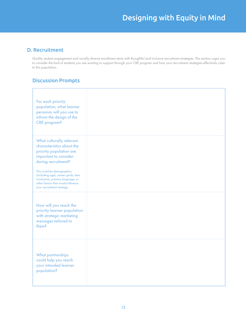### D. Recruitment

Quality student engagement and racially diverse enrollment starts with thoughtful and inclusive recruitment strategies. This section urges you to consider the kind of students you are wanting to support through your CBE program and how your recruitment strategies effectively cater to this population.

| For each priority<br>population, what learner<br>personas will you use to<br>inform the design of the<br><b>CBE</b> program?                                               |  |
|----------------------------------------------------------------------------------------------------------------------------------------------------------------------------|--|
| What culturally relevant<br>characteristics about the<br>priority population are<br>important to consider<br>during recruitment?                                           |  |
| This could be demographics<br>(including age), career goals, time<br>constraints, primary language, or<br>other factors that would influence<br>your recruitment strategy. |  |
| How will you reach the<br>priority learner population<br>with strategic marketing<br>messages tailored to<br>them?                                                         |  |
| <b>What partnerships</b><br>could help you reach<br>your intended learner<br>population?                                                                                   |  |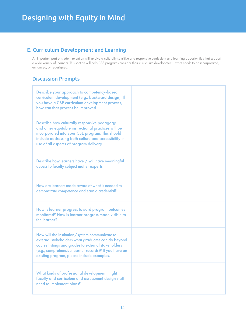## E. Curriculum Development and Learning

An important part of student retention will involve a culturally sensitive and responsive curriculum and learning opportunities that support a wide variety of learners. This section will help CBE programs consider their curriculum development—what needs to be incorporated, enhanced, or redesigned.

| Describe your approach to competency-based<br>curriculum development (e.g., backward design). If<br>you have a CBE curriculum development process,<br>how can that process be improved                                                                             |  |
|--------------------------------------------------------------------------------------------------------------------------------------------------------------------------------------------------------------------------------------------------------------------|--|
| Describe how culturally responsive pedagogy<br>and other equitable instructional practices will be<br>incorporated into your CBE program. This should<br>include addressing both culture and accessibility in<br>use of all aspects of program delivery.           |  |
| Describe how learners have / will have meaningful<br>access to faculty subject matter experts.                                                                                                                                                                     |  |
| How are learners made aware of what is needed to<br>demonstrate competence and earn a credential?                                                                                                                                                                  |  |
| How is learner progress toward program outcomes<br>monitored? How is learner progress made visible to<br>the learner?                                                                                                                                              |  |
| How will the institution/system communicate to<br>external stakeholders what graduates can do beyond<br>course listings and grades to external stakeholders<br>(e.g., comprehensive learner records)? If you have an<br>existing program, please include examples. |  |
| What kinds of professional development might<br>faculty and curriculum and assessment design staff<br>need to implement plans?                                                                                                                                     |  |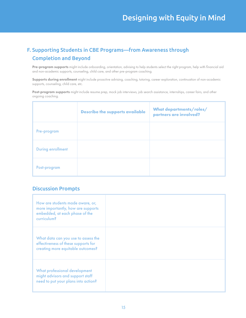## F. Supporting Students in CBE Programs—from Awareness through Completion and Beyond

Pre-program supports might include onboarding, orientation, advising to help students select the right program, help with financial aid and non-academic supports, counseling, child care, and other pre-program coaching.

Supports during enrollment might include proactive advising, coaching, tutoring, career exploration, continuation of non-academic supports, counseling, child care, etc.

Post-program supports might include resume prep, mock job interviews, job search assistance, internships, career fairs, and other ongoing coaching.

|                          | <b>Describe the supports available</b> | <b>What departments/roles/</b><br>partners are involved? |
|--------------------------|----------------------------------------|----------------------------------------------------------|
| Pre-program              |                                        |                                                          |
| <b>During enrollment</b> |                                        |                                                          |
| Post-program             |                                        |                                                          |

| How are students made aware, or,<br>more importantly, how are supports<br>embedded, at each phase of the<br>curriculum? |  |
|-------------------------------------------------------------------------------------------------------------------------|--|
| What data can you use to assess the<br>effectiveness of these supports for<br>creating more equitable outcomes?         |  |
| What professional development<br>might advisors and support staff<br>need to put your plans into action?                |  |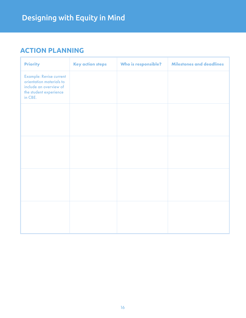## **ACTION PLANNING**

| <b>Priority</b>                                                                                                           | <b>Key action steps</b> | Who is responsible? | <b>Milestones and deadlines</b> |
|---------------------------------------------------------------------------------------------------------------------------|-------------------------|---------------------|---------------------------------|
| <b>Example: Revise current</b><br>orientation materials to<br>include an overview of<br>the student experience<br>in CBE. |                         |                     |                                 |
|                                                                                                                           |                         |                     |                                 |
|                                                                                                                           |                         |                     |                                 |
|                                                                                                                           |                         |                     |                                 |
|                                                                                                                           |                         |                     |                                 |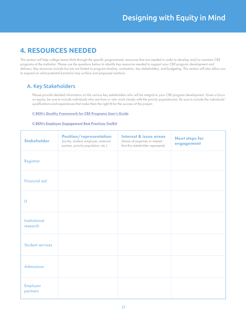## **4. RESOURCES NEEDED**

*This section will help college teams think through the specific programmatic resources that are needed in order to develop and/or maintain CBE programs at the institution. Please use the questions below to identify key resources needed to support your CBE program development and delivery. Key resources include but are not limited to program timeline, evaluation, key stakeholders, and budgeting. This section will also allow you to expand on what potential barrier(s) may surface and proposed solutions.*

### A. Key Stakeholders

Please provide detailed information on the various key stakeholders who will be integral to your CBE program development. Given a focus on equity, be sure to include individuals who are from or who work closely with the priority population(s). Be sure to include the individuals' qualifications and experiences that make them the right fit for the success of the project.

#### [C-BEN's Quality Framework for CBE Programs User's Guide](https://www.cbenetwork.org/wp-content/uploads/2018/09/2nd_button_Quality_Framework_Users_Guide_Final_.pdf)

#### [C-BEN's Employer Engagement Best Practices Toolkit](https://www.cbenetwork.org/wp-content/uploads/2019/10/CBEx-19-019-Best-Practices-Toolkit_DIGITAL-3.pdf)

| <b>Stakeholder</b>               | <b>Position/representation</b><br>(aculty, student, employer, external<br>partner, priority population, etc.) | <b>Interest &amp; issue areas</b><br>(Areas of expertise or interest<br>that this stakeholder represents) | <b>Next steps for</b><br>engagement |
|----------------------------------|---------------------------------------------------------------------------------------------------------------|-----------------------------------------------------------------------------------------------------------|-------------------------------------|
| Registrar                        |                                                                                                               |                                                                                                           |                                     |
| <b>Financial aid</b>             |                                                                                                               |                                                                                                           |                                     |
| IT                               |                                                                                                               |                                                                                                           |                                     |
| <b>Institutional</b><br>research |                                                                                                               |                                                                                                           |                                     |
| <b>Student services</b>          |                                                                                                               |                                                                                                           |                                     |
| <b>Admissions</b>                |                                                                                                               |                                                                                                           |                                     |
| <b>Employer</b><br>partners      |                                                                                                               |                                                                                                           |                                     |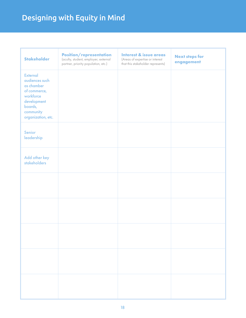# Designing with Equity in Mind

| <b>Stakeholder</b>                                                                                                                        | <b>Position/representation</b><br>(aculty, student, employer, external<br>partner, priority population, etc.) | Interest & issue areas<br>(Areas of expertise or interest<br>that this stakeholder represents) | <b>Next steps for</b><br>engagement |
|-------------------------------------------------------------------------------------------------------------------------------------------|---------------------------------------------------------------------------------------------------------------|------------------------------------------------------------------------------------------------|-------------------------------------|
| <b>External</b><br>audiences such<br>as chamber<br>of commerce,<br>workforce<br>development<br>boards,<br>community<br>organization, etc. |                                                                                                               |                                                                                                |                                     |
| Senior<br>leadership                                                                                                                      |                                                                                                               |                                                                                                |                                     |
| Add other key<br><b>stakeholders</b>                                                                                                      |                                                                                                               |                                                                                                |                                     |
|                                                                                                                                           |                                                                                                               |                                                                                                |                                     |
|                                                                                                                                           |                                                                                                               |                                                                                                |                                     |
|                                                                                                                                           |                                                                                                               |                                                                                                |                                     |
|                                                                                                                                           |                                                                                                               |                                                                                                |                                     |
|                                                                                                                                           |                                                                                                               |                                                                                                |                                     |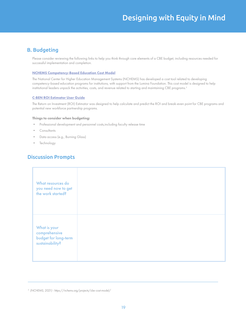### B. Budgeting

Please consider reviewing the following links to help you think through core elements of a CBE budget, including resources needed for successful implementation and completion.

#### [NCHEMS Competency-Based Education Cost Model](https://nchems.org/projects/cbe-cost-model/)

The National Center for Higher Education Management Systems (NCHEMS) has developed a cost tool related to developing competency-based education programs for institutions, with support from the Lumina Foundation. This cost model is designed to help institutional leaders unpack the activities, costs, and revenue related to starting and maintaining CBE programs.*<sup>3</sup>*

#### [C-BEN ROI Estimator User Guide](https://www.cbenetwork.org/wp-content/uploads/2019/10/Employer-Engagement-ROI-Estimator-User-Guide-DIGITAL.pdf)

The Return on Investment (ROI) Estimator was designed to help calculate and predict the ROI and break-even point for CBE programs and potential new workforce partnership programs.

#### Things to consider when budgeting:

- Professional development and personnel costs,including faculty release time
- **Consultants**
- Data access (e.g., Burning Glass)
- **Technology**

| What resources do<br>you need now to get<br>the work started?            |  |
|--------------------------------------------------------------------------|--|
| What is your<br>comprehensive<br>budget for long-term<br>sustainability? |  |

*<sup>3</sup> (NCHEMS, 2021) - https://nchems.org/projects/cbe-cost-model/*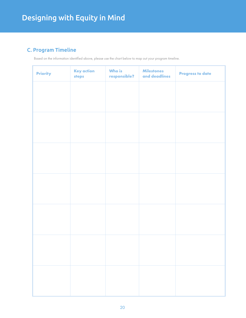## C. Program Timeline

Based on the information identified above, please use the chart below to map out your program timeline.

| <b>Priority</b> | <b>Key action</b><br>steps | Who is<br>responsible? | <b>Milestones</b><br>and deadlines | <b>Progress to date</b> |
|-----------------|----------------------------|------------------------|------------------------------------|-------------------------|
|                 |                            |                        |                                    |                         |
|                 |                            |                        |                                    |                         |
|                 |                            |                        |                                    |                         |
|                 |                            |                        |                                    |                         |
|                 |                            |                        |                                    |                         |
|                 |                            |                        |                                    |                         |
|                 |                            |                        |                                    |                         |
|                 |                            |                        |                                    |                         |
|                 |                            |                        |                                    |                         |
|                 |                            |                        |                                    |                         |
|                 |                            |                        |                                    |                         |
|                 |                            |                        |                                    |                         |
|                 |                            |                        |                                    |                         |
|                 |                            |                        |                                    |                         |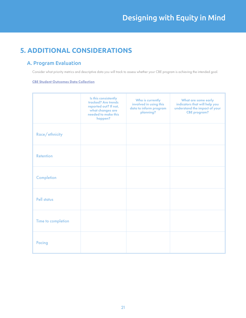## **5. ADDITIONAL CONSIDERATIONS**

### A. Program Evaluation

Consider what priority metrics and descriptive data you will track to assess whether your CBE program is achieving the intended goal.

#### [CBE Student Outcomes Data Collection](https://cberesearch.org/outcomesdata)

|                    | Is this consistently<br>tracked? Are trends<br>reported out? If not,<br>what changes are<br>needed to make this<br>happen? | Who is currently<br>involved in using this<br>data to inform program<br>planning? | What are some early<br>indicators that will help you<br>understand the impact of your<br><b>CBE</b> program? |
|--------------------|----------------------------------------------------------------------------------------------------------------------------|-----------------------------------------------------------------------------------|--------------------------------------------------------------------------------------------------------------|
| Race/ethnicity     |                                                                                                                            |                                                                                   |                                                                                                              |
| <b>Retention</b>   |                                                                                                                            |                                                                                   |                                                                                                              |
| Completion         |                                                                                                                            |                                                                                   |                                                                                                              |
| <b>Pell status</b> |                                                                                                                            |                                                                                   |                                                                                                              |
| Time to completion |                                                                                                                            |                                                                                   |                                                                                                              |
| Pacing             |                                                                                                                            |                                                                                   |                                                                                                              |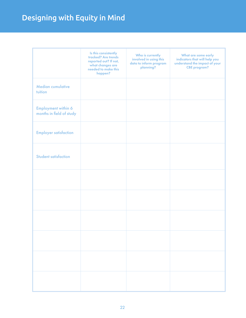# Designing with Equity in Mind

|                                                 | Is this consistently<br>tracked? Are trends<br>reported out? If not,<br>what changes are<br>needed to make this<br>happen? | Who is currently<br>involved in using this<br>data to inform program<br>planning? | What are some early<br>indicators that will help you<br>understand the impact of your<br><b>CBE</b> program? |
|-------------------------------------------------|----------------------------------------------------------------------------------------------------------------------------|-----------------------------------------------------------------------------------|--------------------------------------------------------------------------------------------------------------|
| <b>Median cumulative</b><br>tuition             |                                                                                                                            |                                                                                   |                                                                                                              |
| Employment within 6<br>months in field of study |                                                                                                                            |                                                                                   |                                                                                                              |
| <b>Employer satisfaction</b>                    |                                                                                                                            |                                                                                   |                                                                                                              |
| <b>Student satisfaction</b>                     |                                                                                                                            |                                                                                   |                                                                                                              |
|                                                 |                                                                                                                            |                                                                                   |                                                                                                              |
|                                                 |                                                                                                                            |                                                                                   |                                                                                                              |
|                                                 |                                                                                                                            |                                                                                   |                                                                                                              |
|                                                 |                                                                                                                            |                                                                                   |                                                                                                              |
|                                                 |                                                                                                                            |                                                                                   |                                                                                                              |
|                                                 |                                                                                                                            |                                                                                   |                                                                                                              |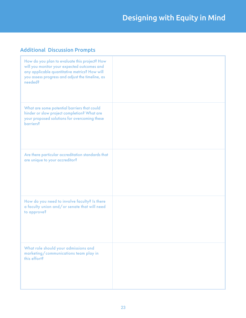## Additional Discussion Prompts

| How do you plan to evaluate this project? How<br>will you monitor your expected outcomes and<br>any applicable quantitative metrics? How will<br>you assess progress and adjust the timeline, as<br>needed? |  |
|-------------------------------------------------------------------------------------------------------------------------------------------------------------------------------------------------------------|--|
| What are some potential barriers that could<br>hinder or slow project completion? What are<br>your proposed solutions for overcoming these<br>barriers?                                                     |  |
| Are there particular accreditation standards that<br>are unique to your accreditor?                                                                                                                         |  |
| How do you need to involve faculty? Is there<br>a faculty union and/or senate that will need<br>to approve?                                                                                                 |  |
| What role should your admissions and<br>marketing/communications team play in<br>this effort?                                                                                                               |  |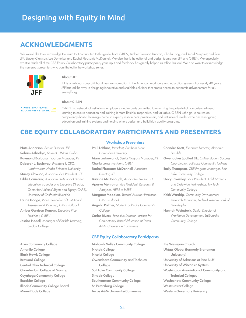## **ACKNOWLEDGMENTS**

We would like to acknowledge the team that contributed to this guide: from C-BEN, Amber Garrison Duncan, Charla Long, and Yedid Minjares; and from JFF, Stacey Clawson, Lee Domeika, and Rachel Pleasants McDonnell. We also thank the editorial and design teams from JFF and C-BEN. We especially want to thank all of the CBE Equity Collaboratory participants; your input and feedback has greatly helped us refine this tool. We also want to acknowledge the numerous presenters who contributed to the workshop series.



#### **About JFF**

JFF is a national nonprofit that drives transformation in the American workforce and education systems. For nearly 40 years, JFF has led the way in designing innovative and scalable solutions that create access to economic advancement for all. www.jff.org

**COMPETENCY-BASED** EDUCATION NETWORK

#### **About C-BEN**

C-BEN is a network of institutions, employers, and experts committed to unlocking the potential of competency-based learning to ensure education and training is more flexible, responsive, and valuable. C-BEN is the go-to source on competency-based learning—home to experts, researchers, practitioners, and institutional leaders who are reimagining education and training systems and helping others design and build high quality programs.

## **CBE EQUITY COLLABORATORY PARTICIPANTS AND PRESENTERS**

Nate Anderson*, Senior Director, JFF* Soham Ashodiya*, Student, UMass Global* Raymond Barbosa*, Program Manager, JFF* Deborah J. Bushway*, President & CEO, Northwestern Health Sciences University* Stacey Clawson*, Associate Vice President, JFF* Eddie Comeaux*, Associate Professor of Higher Education, Founder and Executive Director, Center for Athletes' Rights and Equity (CARE), University of California Riverside* Laurie Dodge*, Vice Chancellor of Institutional Assessment & Planning, UMass Global* Amber Garrison Duncan*, Executive Vice President, C-BEN* Jessica Hodell*, Manager of Flexible Learning, Sinclair College*

Alvin Community College Amarillo College Black Hawk College Broward College Central Ohio Technical College Chamberlain College of Nursing Cuyahoga Community College Excelsior College Illinois Community College Board Miami Dade College

#### Workshop Presenters

Paul LeBlanc*, President, Southern New Hampshire University* Mara Lockowandt*, Senior Program Manager, JFF* Charla Long*, President, C-BEN* Rachel Pleasants McDonnell*, Associate Director, JFF* Brianne McDonough*, Associate Director, JFF* Apurva Mehrotra*, Vice President, Research & Analytics, HERE to HERE* Margaret Moodian*, Tutorial Assistant Professor, UMass Global* Angelia Palmer*, Student, Salt Lake Community College* Carlos Rivers*, Executive Director, Institute for Competency-Based Education at Texas A&M University – Commerce*

#### CBE Equity Collaboratory Participants

Mohawk Valley Community College Nichols College Nicolet College Owensboro Community and Technical College Salt Lake Community College Sinclair College Southeastern Community College St. Petersburg College Texas A&M University-Commerce

Chandra Scott*, Executive Director, Alabama Possible* Gwendolyn Spotted Elk*, Online Student Success Coordinator, Salt Lake Community College* Emily Thompson*, CBE Program Manager, Salt Lake Community College* Stacy Townsley*, Vice President, Adult Strategy and Statewide Partnerships, Ivy Tech Community College* Keith Wardrip*, Community Development Research Manager, Federal Reserve Bank of Philadelphia* Hannah Weinstock*, Senior Director of Workforce Development, LaGuardia Community College*

The Wesleyan Church UMass Global (formerly Brandman University) University of Arkansas at Pine Bluff University of Wisconsin System Washington Association of Community and Technical Colleges Washtenaw Community College Westminster College Western Governors University